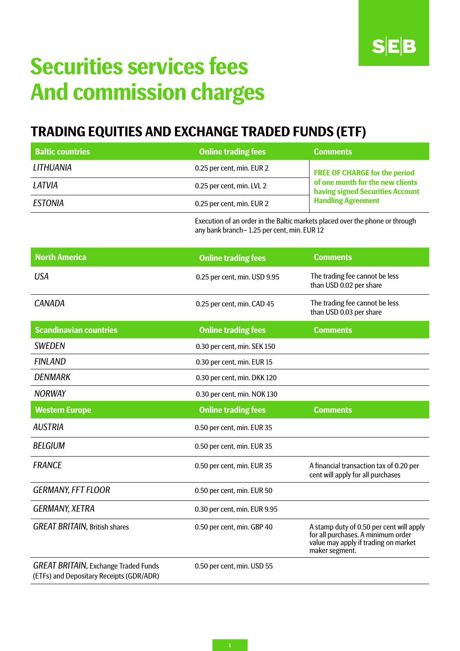

# **Securities services fees And commission charges**

# **TRADING EQUITIES AND EXCHANGE TRADED FUNDS (ETF)**

| <b>Baltic countries</b>                                                                 | <b>Online trading fees</b>                                                                                                 | <b>Comments</b>                                                                                                                          |  |
|-----------------------------------------------------------------------------------------|----------------------------------------------------------------------------------------------------------------------------|------------------------------------------------------------------------------------------------------------------------------------------|--|
| LITHUANIA                                                                               | 0.25 per cent, min. EUR 2                                                                                                  | <b>FREE OF CHARGE for the period</b><br>of one month for the new clients<br>having signed Securities Account                             |  |
| LATVIA                                                                                  | 0.25 per cent, min. LVL 2                                                                                                  |                                                                                                                                          |  |
| <b>ESTONIA</b>                                                                          | 0.25 per cent, min. EUR 2                                                                                                  | <b>Handling Agreement</b>                                                                                                                |  |
|                                                                                         | Execution of an order in the Baltic markets placed over the phone or through<br>any bank branch-1.25 per cent, min. EUR 12 |                                                                                                                                          |  |
| <b>North America</b>                                                                    | <b>Online trading fees</b>                                                                                                 | <b>Comments</b>                                                                                                                          |  |
| <b>USA</b>                                                                              | 0.25 per cent, min. USD 9.95                                                                                               | The trading fee cannot be less<br>than USD 0.02 per share                                                                                |  |
| <b>CANADA</b>                                                                           | 0.25 per cent, min. CAD 45                                                                                                 | The trading fee cannot be less<br>than USD 0.03 per share                                                                                |  |
| <b>Scandinavian countries</b>                                                           | <b>Online trading fees</b>                                                                                                 | <b>Comments</b>                                                                                                                          |  |
| <b>SWEDEN</b>                                                                           | 0.30 per cent, min. SEK 150                                                                                                |                                                                                                                                          |  |
| <b>FINLAND</b>                                                                          | 0.30 per cent, min. EUR 15                                                                                                 |                                                                                                                                          |  |
| <b>DENMARK</b>                                                                          | 0.30 per cent, min. DKK 120                                                                                                |                                                                                                                                          |  |
| <b>NORWAY</b>                                                                           | 0.30 per cent, min. NOK 130                                                                                                |                                                                                                                                          |  |
| <b>Western Europe</b>                                                                   | <b>Online trading fees</b>                                                                                                 | <b>Comments</b>                                                                                                                          |  |
| <b>AUSTRIA</b>                                                                          | 0.50 per cent, min. EUR 35                                                                                                 |                                                                                                                                          |  |
| <b>BELGIUM</b>                                                                          | 0.50 per cent, min. EUR 35                                                                                                 |                                                                                                                                          |  |
| <b>FRANCE</b>                                                                           | 0.50 per cent, min. EUR 35                                                                                                 | A financial transaction tax of 0.20 per<br>cent will apply for all purchases                                                             |  |
| <b>GERMANY, FFT FLOOR</b>                                                               | 0.50 per cent, min. EUR 50                                                                                                 |                                                                                                                                          |  |
| <b>GERMANY, XETRA</b>                                                                   | 0.30 per cent, min. EUR 9.95                                                                                               |                                                                                                                                          |  |
| <b>GREAT BRITAIN, British shares</b>                                                    | 0.50 per cent, min. GBP 40                                                                                                 | A stamp duty of 0.50 per cent will apply<br>for all purchases. A minimum order<br>value may apply if trading on market<br>maker segment. |  |
| <b>GREAT BRITAIN, Exchange Traded Funds</b><br>(ETFs) and Depositary Receipts (GDR/ADR) | 0.50 per cent, min. USD 55                                                                                                 |                                                                                                                                          |  |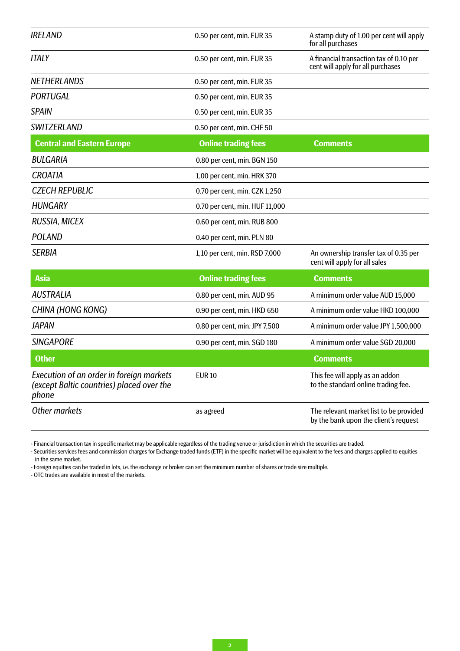| <b>IRELAND</b>                                                                                        | 0.50 per cent, min. EUR 35     | A stamp duty of 1.00 per cent will apply<br>for all purchases                    |
|-------------------------------------------------------------------------------------------------------|--------------------------------|----------------------------------------------------------------------------------|
| <b>ITALY</b>                                                                                          | 0.50 per cent, min. EUR 35     | A financial transaction tax of 0.10 per<br>cent will apply for all purchases     |
| <b>NETHERLANDS</b>                                                                                    | 0.50 per cent, min. EUR 35     |                                                                                  |
| <b>PORTUGAL</b>                                                                                       | 0.50 per cent, min. EUR 35     |                                                                                  |
| <b>SPAIN</b>                                                                                          | 0.50 per cent, min. EUR 35     |                                                                                  |
| <b>SWITZERLAND</b>                                                                                    | 0.50 per cent, min. CHF 50     |                                                                                  |
| <b>Central and Eastern Europe</b>                                                                     | <b>Online trading fees</b>     | Comments                                                                         |
| <b>BULGARIA</b>                                                                                       | 0.80 per cent, min. BGN 150    |                                                                                  |
| <b>CROATIA</b>                                                                                        | 1,00 per cent, min. HRK 370    |                                                                                  |
| <b>CZECH REPUBLIC</b>                                                                                 | 0.70 per cent, min. CZK 1,250  |                                                                                  |
| <b>HUNGARY</b>                                                                                        | 0.70 per cent, min. HUF 11,000 |                                                                                  |
| RUSSIA, MICEX                                                                                         | 0.60 per cent, min. RUB 800    |                                                                                  |
| <b>POLAND</b>                                                                                         | 0.40 per cent, min. PLN 80     |                                                                                  |
| <b>SERBIA</b>                                                                                         | 1,10 per cent, min. RSD 7,000  | An ownership transfer tax of 0.35 per<br>cent will apply for all sales           |
| <b>Asia</b>                                                                                           | <b>Online trading fees</b>     | <b>Comments</b>                                                                  |
| <b>AUSTRALIA</b>                                                                                      | 0.80 per cent, min. AUD 95     | A minimum order value AUD 15,000                                                 |
| CHINA (HONG KONG)                                                                                     | 0.90 per cent, min. HKD 650    | A minimum order value HKD 100,000                                                |
| <b>JAPAN</b>                                                                                          | 0.80 per cent, min. JPY 7,500  | A minimum order value JPY 1,500,000                                              |
| <b>SINGAPORE</b>                                                                                      | 0.90 per cent, min. SGD 180    | A minimum order value SGD 20,000                                                 |
| <b>Other</b>                                                                                          |                                | <b>Comments</b>                                                                  |
| <b>Execution of an order in foreign markets</b><br>(except Baltic countries) placed over the<br>phone | <b>EUR10</b>                   | This fee will apply as an addon<br>to the standard online trading fee.           |
| <b>Other markets</b>                                                                                  | as agreed                      | The relevant market list to be provided<br>by the bank upon the client's request |

- Financial transaction tax in specific market may be applicable regardless of the trading venue or jurisdiction in which the securities are traded.

- Securities services fees and commission charges for Exchange traded funds (ETF) in the specific market will be equivalent to the fees and charges applied to equities in the same market.

- Foreign equities can be traded in lots, i.e. the exchange or broker can set the minimum number of shares or trade size multiple.

- OTC trades are available in most of the markets.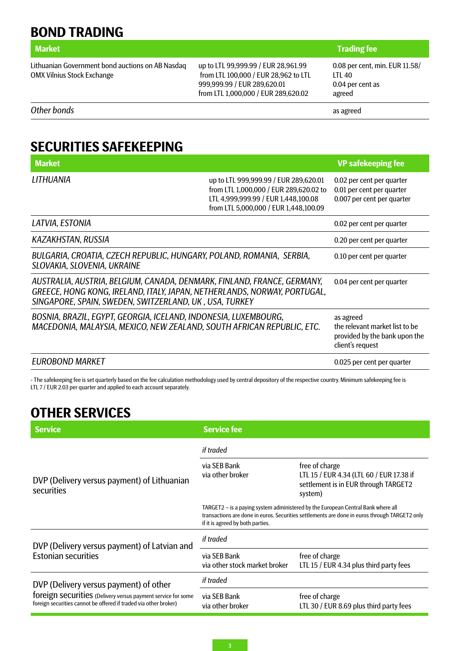**BOND TRADING**

Lithuanian Government bond auctions on AB Nasdaq OMX Vilnius Stock Exchange

up to LTL 99,999.99 / EUR 28,961.99 from LTL 100,000 / EUR 28,962 to LTL 999,999.99 / EUR 289,620.01 from LTL 1,000,000 / EUR 289,620.02

#### **Market Trading fee Trading fee**

0.08 per cent, min. EUR 11.58/ LTL 40 0.04 per cent as agreed

*Other bonds* as agreed

### **SECURITIES SAFEKEEPING**

| <b>Market</b>                                                                                                                                                                                                 |                                                                                                                                                                 | <b>VP</b> safekeeping fee                                                                        |
|---------------------------------------------------------------------------------------------------------------------------------------------------------------------------------------------------------------|-----------------------------------------------------------------------------------------------------------------------------------------------------------------|--------------------------------------------------------------------------------------------------|
| LITHUANIA                                                                                                                                                                                                     | up to LTL 999,999.99 / EUR 289,620.01<br>from LTL 1,000,000 / EUR 289,620.02 to<br>LTL 4,999,999.99 / EUR 1,448,100.08<br>from LTL 5,000,000 / EUR 1,448,100.09 | 0.02 per cent per quarter<br>0.01 per cent per quarter<br>0.007 per cent per quarter             |
| LATVIA, ESTONIA                                                                                                                                                                                               |                                                                                                                                                                 | 0.02 per cent per quarter                                                                        |
| <b>KAZAKHSTAN, RUSSIA</b>                                                                                                                                                                                     |                                                                                                                                                                 | 0.20 per cent per quarter                                                                        |
| BULGARIA, CROATIA, CZECH REPUBLIC, HUNGARY, POLAND, ROMANIA, SERBIA,<br>SLOVAKIA, SLOVENIA, UKRAINE                                                                                                           |                                                                                                                                                                 | 0.10 per cent per quarter                                                                        |
| AUSTRALIA, AUSTRIA, BELGIUM, CANADA, DENMARK, FINLAND, FRANCE, GERMANY,<br>GREECE, HONG KONG, IRELAND, ITALY, JAPAN, NETHERLANDS, NORWAY, PORTUGAL,<br>SINGAPORE, SPAIN, SWEDEN, SWITZERLAND, UK, USA, TURKEY |                                                                                                                                                                 | 0.04 per cent per quarter                                                                        |
| BOSNIA, BRAZIL, EGYPT, GEORGIA, ICELAND, INDONESIA, LUXEMBOURG,<br>MACEDONIA, MALAYSIA, MEXICO, NEW ZEALAND, SOUTH AFRICAN REPUBLIC, ETC.                                                                     |                                                                                                                                                                 | as agreed<br>the relevant market list to be<br>provided by the bank upon the<br>client's request |
| <b>EUROBOND MARKET</b>                                                                                                                                                                                        |                                                                                                                                                                 | 0.025 per cent per quarter                                                                       |

- The safekeeping fee is set quarterly based on the fee calculation methodology used by central depository of the respective country. Minimum safekeeping fee is LTL 7 / EUR 2.03 per quarter and applied to each account separately.

## **OTHER SERVICES**

| <b>Service</b>                                                                                                                                                             | <b>Service fee</b>                                                                                                                                                                                                    |                                                                                                               |
|----------------------------------------------------------------------------------------------------------------------------------------------------------------------------|-----------------------------------------------------------------------------------------------------------------------------------------------------------------------------------------------------------------------|---------------------------------------------------------------------------------------------------------------|
| DVP (Delivery versus payment) of Lithuanian<br>securities                                                                                                                  | if traded                                                                                                                                                                                                             |                                                                                                               |
|                                                                                                                                                                            | via SFB Bank<br>via other broker                                                                                                                                                                                      | free of charge<br>LTL 15 / EUR 4.34 (LTL 60 / EUR 17.38 if<br>settlement is in EUR through TARGET2<br>system) |
|                                                                                                                                                                            | TARGET2 – is a paying system administered by the European Central Bank where all<br>transactions are done in euros. Securities settlements are done in euros through TARGET2 only<br>if it is agreed by both parties. |                                                                                                               |
| DVP (Delivery versus payment) of Latvian and<br><b>Estonian securities</b>                                                                                                 | if traded                                                                                                                                                                                                             |                                                                                                               |
|                                                                                                                                                                            | via SEB Bank<br>via other stock market broker                                                                                                                                                                         | free of charge<br>LTL 15 / EUR 4.34 plus third party fees                                                     |
| DVP (Delivery versus payment) of other<br>foreign securities (Delivery versus payment service for some<br>foreign securities cannot be offered if traded via other broker) | if traded                                                                                                                                                                                                             |                                                                                                               |
|                                                                                                                                                                            | via SEB Bank<br>via other broker                                                                                                                                                                                      | free of charge<br>LTL 30 / EUR 8.69 plus third party fees                                                     |